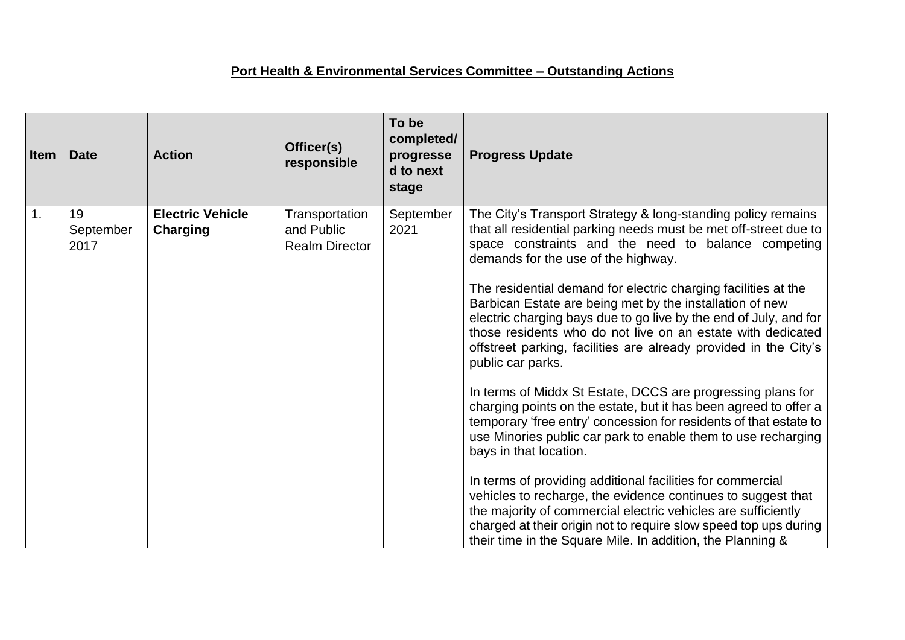## **Port Health & Environmental Services Committee – Outstanding Actions**

| <b>Item</b> | <b>Date</b>             | <b>Action</b>                              | Officer(s)<br>responsible                             | To be<br>completed/<br>progresse<br>d to next<br>stage | <b>Progress Update</b>                                                                                                                                                                                                                                                                                                                                                                                                                                                                                                                                                                                                                                   |
|-------------|-------------------------|--------------------------------------------|-------------------------------------------------------|--------------------------------------------------------|----------------------------------------------------------------------------------------------------------------------------------------------------------------------------------------------------------------------------------------------------------------------------------------------------------------------------------------------------------------------------------------------------------------------------------------------------------------------------------------------------------------------------------------------------------------------------------------------------------------------------------------------------------|
| 1.          | 19<br>September<br>2017 | <b>Electric Vehicle</b><br><b>Charging</b> | Transportation<br>and Public<br><b>Realm Director</b> | September<br>2021                                      | The City's Transport Strategy & long-standing policy remains<br>that all residential parking needs must be met off-street due to<br>space constraints and the need to balance competing<br>demands for the use of the highway.<br>The residential demand for electric charging facilities at the<br>Barbican Estate are being met by the installation of new<br>electric charging bays due to go live by the end of July, and for<br>those residents who do not live on an estate with dedicated<br>offstreet parking, facilities are already provided in the City's<br>public car parks.<br>In terms of Middx St Estate, DCCS are progressing plans for |
|             |                         |                                            |                                                       |                                                        | charging points on the estate, but it has been agreed to offer a<br>temporary 'free entry' concession for residents of that estate to<br>use Minories public car park to enable them to use recharging<br>bays in that location.<br>In terms of providing additional facilities for commercial<br>vehicles to recharge, the evidence continues to suggest that<br>the majority of commercial electric vehicles are sufficiently<br>charged at their origin not to require slow speed top ups during<br>their time in the Square Mile. In addition, the Planning &                                                                                        |